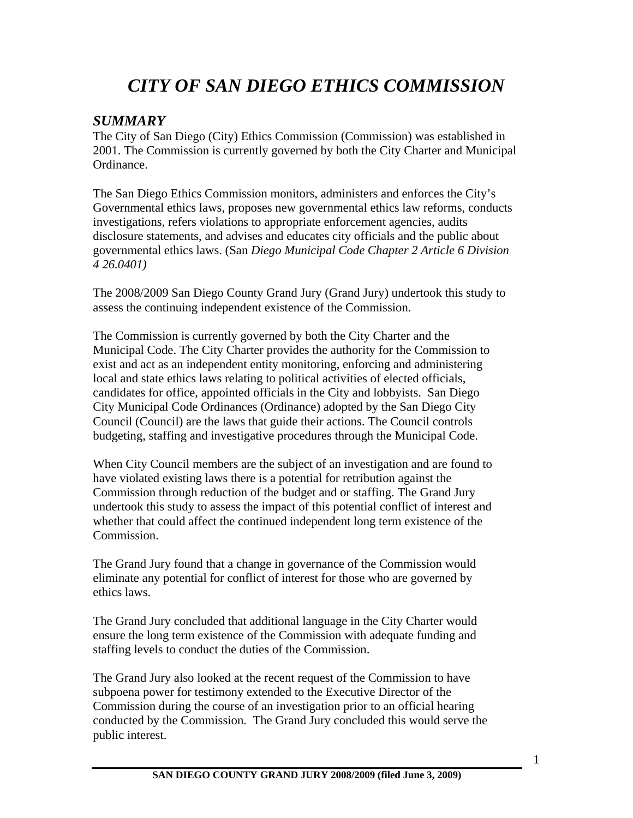# *CITY OF SAN DIEGO ETHICS COMMISSION*

## *SUMMARY*

The City of San Diego (City) Ethics Commission (Commission) was established in 2001. The Commission is currently governed by both the City Charter and Municipal Ordinance.

The San Diego Ethics Commission monitors, administers and enforces the City's Governmental ethics laws, proposes new governmental ethics law reforms, conducts investigations, refers violations to appropriate enforcement agencies, audits disclosure statements, and advises and educates city officials and the public about governmental ethics laws. (San *Diego Municipal Code Chapter 2 Article 6 Division 4 26.0401)* 

The 2008/2009 San Diego County Grand Jury (Grand Jury) undertook this study to assess the continuing independent existence of the Commission.

The Commission is currently governed by both the City Charter and the Municipal Code. The City Charter provides the authority for the Commission to exist and act as an independent entity monitoring, enforcing and administering local and state ethics laws relating to political activities of elected officials, candidates for office, appointed officials in the City and lobbyists. San Diego City Municipal Code Ordinances (Ordinance) adopted by the San Diego City Council (Council) are the laws that guide their actions. The Council controls budgeting, staffing and investigative procedures through the Municipal Code.

When City Council members are the subject of an investigation and are found to have violated existing laws there is a potential for retribution against the Commission through reduction of the budget and or staffing. The Grand Jury undertook this study to assess the impact of this potential conflict of interest and whether that could affect the continued independent long term existence of the Commission.

The Grand Jury found that a change in governance of the Commission would eliminate any potential for conflict of interest for those who are governed by ethics laws.

The Grand Jury concluded that additional language in the City Charter would ensure the long term existence of the Commission with adequate funding and staffing levels to conduct the duties of the Commission.

The Grand Jury also looked at the recent request of the Commission to have subpoena power for testimony extended to the Executive Director of the Commission during the course of an investigation prior to an official hearing conducted by the Commission. The Grand Jury concluded this would serve the public interest.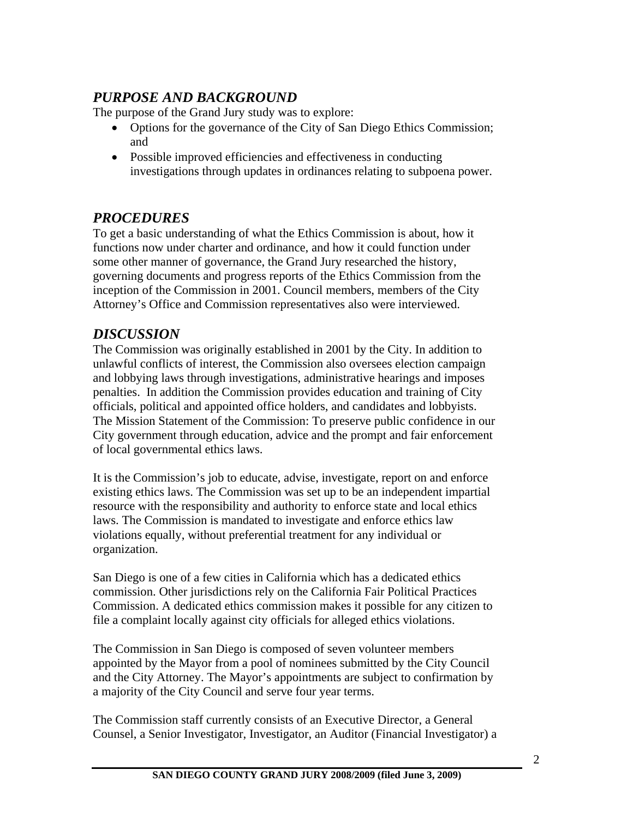# *PURPOSE AND BACKGROUND*

The purpose of the Grand Jury study was to explore:

- Options for the governance of the City of San Diego Ethics Commission; and
- Possible improved efficiencies and effectiveness in conducting investigations through updates in ordinances relating to subpoena power.

# *PROCEDURES*

To get a basic understanding of what the Ethics Commission is about, how it functions now under charter and ordinance, and how it could function under some other manner of governance, the Grand Jury researched the history, governing documents and progress reports of the Ethics Commission from the inception of the Commission in 2001. Council members, members of the City Attorney's Office and Commission representatives also were interviewed.

## *DISCUSSION*

The Commission was originally established in 2001 by the City. In addition to unlawful conflicts of interest, the Commission also oversees election campaign and lobbying laws through investigations, administrative hearings and imposes penalties. In addition the Commission provides education and training of City officials, political and appointed office holders, and candidates and lobbyists. The Mission Statement of the Commission: To preserve public confidence in our City government through education, advice and the prompt and fair enforcement of local governmental ethics laws.

It is the Commission's job to educate, advise, investigate, report on and enforce existing ethics laws. The Commission was set up to be an independent impartial resource with the responsibility and authority to enforce state and local ethics laws. The Commission is mandated to investigate and enforce ethics law violations equally, without preferential treatment for any individual or organization.

San Diego is one of a few cities in California which has a dedicated ethics commission. Other jurisdictions rely on the California Fair Political Practices Commission. A dedicated ethics commission makes it possible for any citizen to file a complaint locally against city officials for alleged ethics violations.

The Commission in San Diego is composed of seven volunteer members appointed by the Mayor from a pool of nominees submitted by the City Council and the City Attorney. The Mayor's appointments are subject to confirmation by a majority of the City Council and serve four year terms.

The Commission staff currently consists of an Executive Director, a General Counsel, a Senior Investigator, Investigator, an Auditor (Financial Investigator) a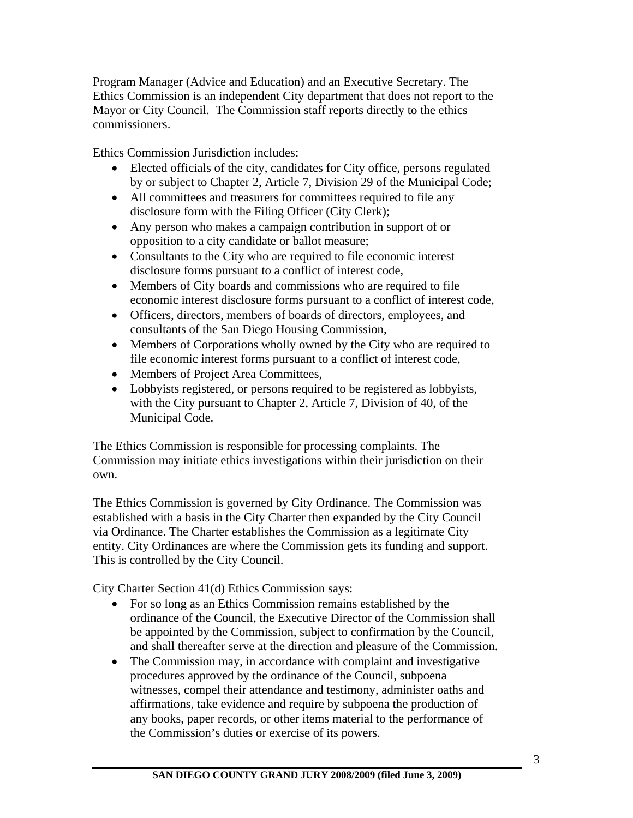Program Manager (Advice and Education) and an Executive Secretary. The Ethics Commission is an independent City department that does not report to the Mayor or City Council. The Commission staff reports directly to the ethics commissioners.

Ethics Commission Jurisdiction includes:

- Elected officials of the city, candidates for City office, persons regulated by or subject to Chapter 2, Article 7, Division 29 of the Municipal Code;
- All committees and treasurers for committees required to file any disclosure form with the Filing Officer (City Clerk);
- Any person who makes a campaign contribution in support of or opposition to a city candidate or ballot measure;
- Consultants to the City who are required to file economic interest disclosure forms pursuant to a conflict of interest code,
- Members of City boards and commissions who are required to file economic interest disclosure forms pursuant to a conflict of interest code,
- Officers, directors, members of boards of directors, employees, and consultants of the San Diego Housing Commission,
- Members of Corporations wholly owned by the City who are required to file economic interest forms pursuant to a conflict of interest code,
- Members of Project Area Committees,
- Lobbyists registered, or persons required to be registered as lobbyists, with the City pursuant to Chapter 2, Article 7, Division of 40, of the Municipal Code.

The Ethics Commission is responsible for processing complaints. The Commission may initiate ethics investigations within their jurisdiction on their own.

The Ethics Commission is governed by City Ordinance. The Commission was established with a basis in the City Charter then expanded by the City Council via Ordinance. The Charter establishes the Commission as a legitimate City entity. City Ordinances are where the Commission gets its funding and support. This is controlled by the City Council.

City Charter Section 41(d) Ethics Commission says:

- For so long as an Ethics Commission remains established by the ordinance of the Council, the Executive Director of the Commission shall be appointed by the Commission, subject to confirmation by the Council, and shall thereafter serve at the direction and pleasure of the Commission.
- The Commission may, in accordance with complaint and investigative procedures approved by the ordinance of the Council, subpoena witnesses, compel their attendance and testimony, administer oaths and affirmations, take evidence and require by subpoena the production of any books, paper records, or other items material to the performance of the Commission's duties or exercise of its powers.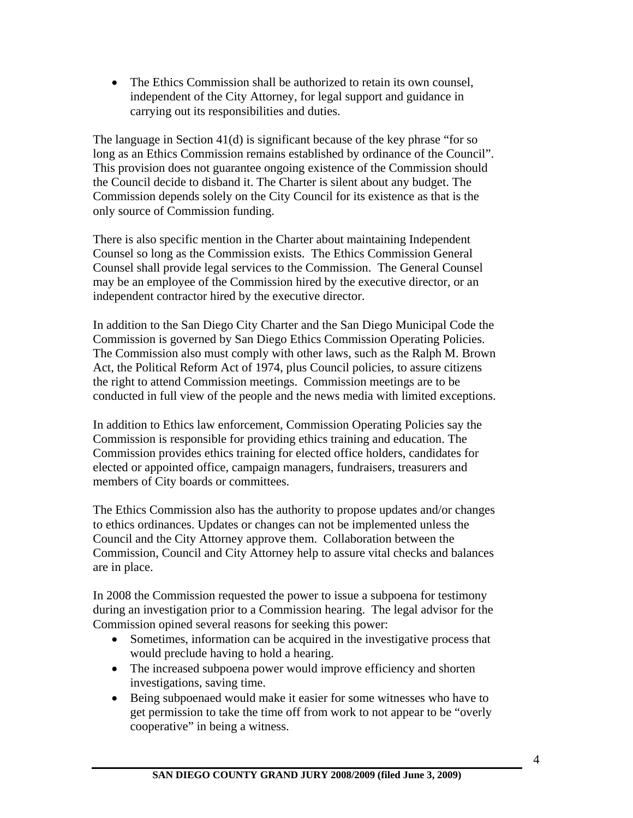• The Ethics Commission shall be authorized to retain its own counsel, independent of the City Attorney, for legal support and guidance in carrying out its responsibilities and duties.

The language in Section 41(d) is significant because of the key phrase "for so long as an Ethics Commission remains established by ordinance of the Council". This provision does not guarantee ongoing existence of the Commission should the Council decide to disband it. The Charter is silent about any budget. The Commission depends solely on the City Council for its existence as that is the only source of Commission funding.

There is also specific mention in the Charter about maintaining Independent Counsel so long as the Commission exists. The Ethics Commission General Counsel shall provide legal services to the Commission. The General Counsel may be an employee of the Commission hired by the executive director, or an independent contractor hired by the executive director.

In addition to the San Diego City Charter and the San Diego Municipal Code the Commission is governed by San Diego Ethics Commission Operating Policies. The Commission also must comply with other laws, such as the Ralph M. Brown Act, the Political Reform Act of 1974, plus Council policies, to assure citizens the right to attend Commission meetings. Commission meetings are to be conducted in full view of the people and the news media with limited exceptions.

In addition to Ethics law enforcement, Commission Operating Policies say the Commission is responsible for providing ethics training and education. The Commission provides ethics training for elected office holders, candidates for elected or appointed office, campaign managers, fundraisers, treasurers and members of City boards or committees.

The Ethics Commission also has the authority to propose updates and/or changes to ethics ordinances. Updates or changes can not be implemented unless the Council and the City Attorney approve them. Collaboration between the Commission, Council and City Attorney help to assure vital checks and balances are in place.

In 2008 the Commission requested the power to issue a subpoena for testimony during an investigation prior to a Commission hearing. The legal advisor for the Commission opined several reasons for seeking this power:

- Sometimes, information can be acquired in the investigative process that would preclude having to hold a hearing.
- The increased subpoena power would improve efficiency and shorten investigations, saving time.
- Being subpoenaed would make it easier for some witnesses who have to get permission to take the time off from work to not appear to be "overly cooperative" in being a witness.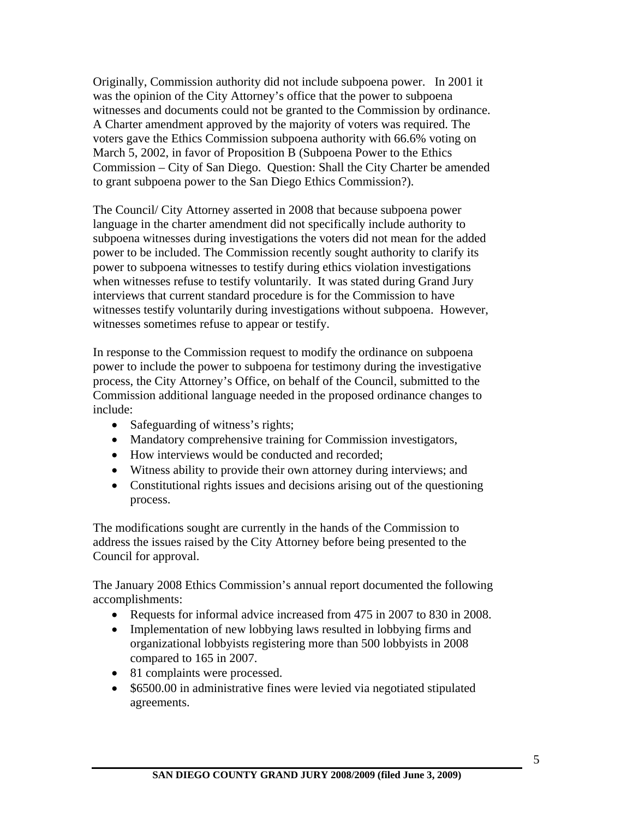Originally, Commission authority did not include subpoena power. In 2001 it was the opinion of the City Attorney's office that the power to subpoena witnesses and documents could not be granted to the Commission by ordinance. A Charter amendment approved by the majority of voters was required. The voters gave the Ethics Commission subpoena authority with 66.6% voting on March 5, 2002, in favor of Proposition B (Subpoena Power to the Ethics Commission – City of San Diego. Question: Shall the City Charter be amended to grant subpoena power to the San Diego Ethics Commission?).

The Council/ City Attorney asserted in 2008 that because subpoena power language in the charter amendment did not specifically include authority to subpoena witnesses during investigations the voters did not mean for the added power to be included. The Commission recently sought authority to clarify its power to subpoena witnesses to testify during ethics violation investigations when witnesses refuse to testify voluntarily. It was stated during Grand Jury interviews that current standard procedure is for the Commission to have witnesses testify voluntarily during investigations without subpoena. However, witnesses sometimes refuse to appear or testify.

In response to the Commission request to modify the ordinance on subpoena power to include the power to subpoena for testimony during the investigative process, the City Attorney's Office, on behalf of the Council, submitted to the Commission additional language needed in the proposed ordinance changes to include:

- Safeguarding of witness's rights;
- Mandatory comprehensive training for Commission investigators,
- How interviews would be conducted and recorded;
- Witness ability to provide their own attorney during interviews; and
- Constitutional rights issues and decisions arising out of the questioning process.

The modifications sought are currently in the hands of the Commission to address the issues raised by the City Attorney before being presented to the Council for approval.

The January 2008 Ethics Commission's annual report documented the following accomplishments:

- Requests for informal advice increased from 475 in 2007 to 830 in 2008.
- Implementation of new lobbying laws resulted in lobbying firms and organizational lobbyists registering more than 500 lobbyists in 2008 compared to 165 in 2007.
- 81 complaints were processed.
- \$6500.00 in administrative fines were levied via negotiated stipulated agreements.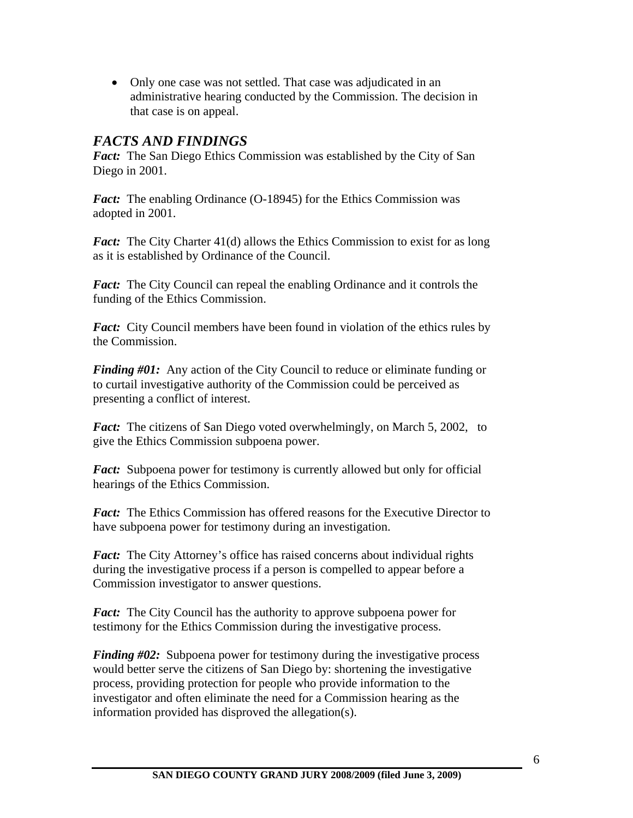• Only one case was not settled. That case was adjudicated in an administrative hearing conducted by the Commission. The decision in that case is on appeal.

### *FACTS AND FINDINGS*

*Fact:* The San Diego Ethics Commission was established by the City of San Diego in 2001.

*Fact:* The enabling Ordinance (O-18945) for the Ethics Commission was adopted in 2001.

*Fact:* The City Charter 41(d) allows the Ethics Commission to exist for as long as it is established by Ordinance of the Council.

*Fact:* The City Council can repeal the enabling Ordinance and it controls the funding of the Ethics Commission.

*Fact:* City Council members have been found in violation of the ethics rules by the Commission.

*Finding #01:* Any action of the City Council to reduce or eliminate funding or to curtail investigative authority of the Commission could be perceived as presenting a conflict of interest.

*Fact:* The citizens of San Diego voted overwhelmingly, on March 5, 2002, to give the Ethics Commission subpoena power.

*Fact:* Subpoena power for testimony is currently allowed but only for official hearings of the Ethics Commission.

*Fact:* The Ethics Commission has offered reasons for the Executive Director to have subpoena power for testimony during an investigation.

*Fact:* The City Attorney's office has raised concerns about individual rights during the investigative process if a person is compelled to appear before a Commission investigator to answer questions.

*Fact:* The City Council has the authority to approve subpoena power for testimony for the Ethics Commission during the investigative process.

*Finding #02:* Subpoena power for testimony during the investigative process would better serve the citizens of San Diego by: shortening the investigative process, providing protection for people who provide information to the investigator and often eliminate the need for a Commission hearing as the information provided has disproved the allegation(s).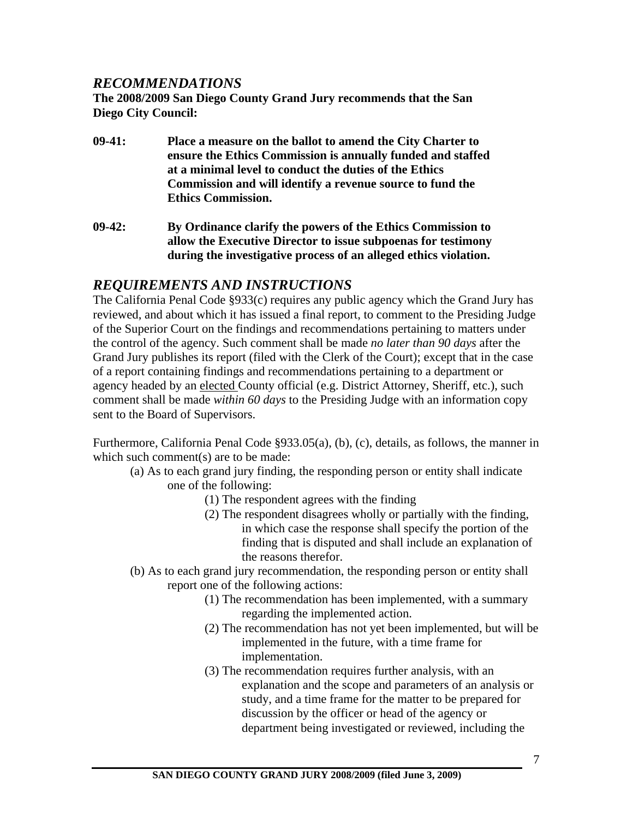#### *RECOMMENDATIONS*

**The 2008/2009 San Diego County Grand Jury recommends that the San Diego City Council:** 

- **09-41: Place a measure on the ballot to amend the City Charter to ensure the Ethics Commission is annually funded and staffed at a minimal level to conduct the duties of the Ethics Commission and will identify a revenue source to fund the Ethics Commission.**
- **09-42: By Ordinance clarify the powers of the Ethics Commission to allow the Executive Director to issue subpoenas for testimony during the investigative process of an alleged ethics violation.**

## *REQUIREMENTS AND INSTRUCTIONS*

The California Penal Code §933(c) requires any public agency which the Grand Jury has reviewed, and about which it has issued a final report, to comment to the Presiding Judge of the Superior Court on the findings and recommendations pertaining to matters under the control of the agency. Such comment shall be made *no later than 90 days* after the Grand Jury publishes its report (filed with the Clerk of the Court); except that in the case of a report containing findings and recommendations pertaining to a department or agency headed by an elected County official (e.g. District Attorney, Sheriff, etc.), such comment shall be made *within 60 days* to the Presiding Judge with an information copy sent to the Board of Supervisors.

Furthermore, California Penal Code §933.05(a), (b), (c), details, as follows, the manner in which such comment(s) are to be made:

- (a) As to each grand jury finding, the responding person or entity shall indicate one of the following:
	- (1) The respondent agrees with the finding
	- (2) The respondent disagrees wholly or partially with the finding, in which case the response shall specify the portion of the finding that is disputed and shall include an explanation of the reasons therefor.
- (b) As to each grand jury recommendation, the responding person or entity shall report one of the following actions:
	- (1) The recommendation has been implemented, with a summary regarding the implemented action.
	- (2) The recommendation has not yet been implemented, but will be implemented in the future, with a time frame for implementation.
	- (3) The recommendation requires further analysis, with an explanation and the scope and parameters of an analysis or study, and a time frame for the matter to be prepared for discussion by the officer or head of the agency or department being investigated or reviewed, including the